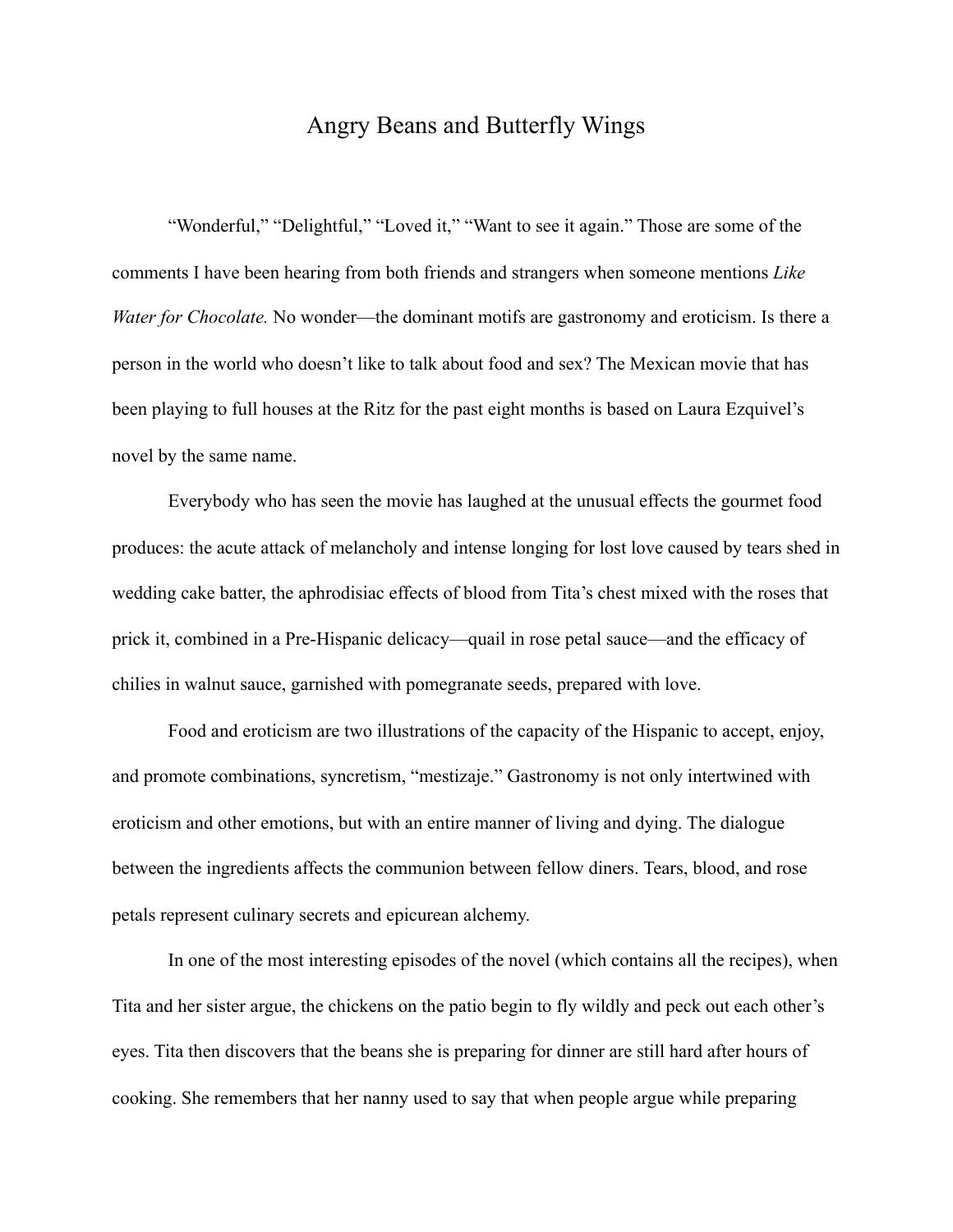## Angry Beans and Butterfly Wings

 "Wonderful," "Delightful," "Loved it," "Want to see it again." Those are some of the comments I have been hearing from both friends and strangers when someone mentions *Like Water for Chocolate.* No wonder—the dominant motifs are gastronomy and eroticism. Is there a person in the world who doesn't like to talk about food and sex? The Mexican movie that has been playing to full houses at the Ritz for the past eight months is based on Laura Ezquivel's novel by the same name.

 Everybody who has seen the movie has laughed at the unusual effects the gourmet food produces: the acute attack of melancholy and intense longing for lost love caused by tears shed in wedding cake batter, the aphrodisiac effects of blood from Tita's chest mixed with the roses that prick it, combined in a Pre-Hispanic delicacy—quail in rose petal sauce—and the efficacy of chilies in walnut sauce, garnished with pomegranate seeds, prepared with love.

 Food and eroticism are two illustrations of the capacity of the Hispanic to accept, enjoy, and promote combinations, syncretism, "mestizaje." Gastronomy is not only intertwined with eroticism and other emotions, but with an entire manner of living and dying. The dialogue between the ingredients affects the communion between fellow diners. Tears, blood, and rose petals represent culinary secrets and epicurean alchemy.

 In one of the most interesting episodes of the novel (which contains all the recipes), when Tita and her sister argue, the chickens on the patio begin to fly wildly and peck out each other's eyes. Tita then discovers that the beans she is preparing for dinner are still hard after hours of cooking. She remembers that her nanny used to say that when people argue while preparing